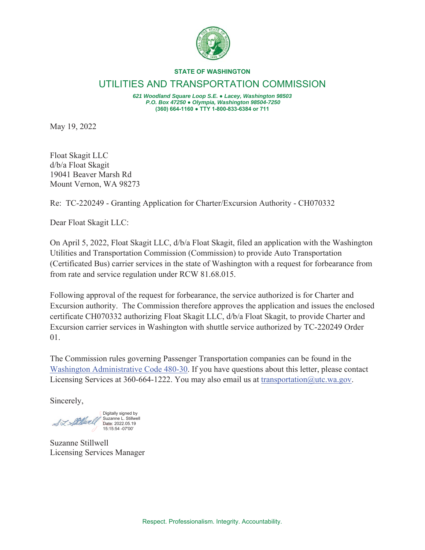

## **STATE OF WASHINGTON**

UTILITIES AND TRANSPORTATION COMMISSION

*621 Woodland Square Loop S.E. Ɣ Lacey, Washington 98503 P.O. Box 47250 Ɣ Olympia, Washington 98504-7250* **(360) 664-1160 ƔTTY 1-800-833-6384 or 711**

May 19, 2022

Float Skagit LLC d/b/a Float Skagit 19041 Beaver Marsh Rd Mount Vernon, WA 98273

Re: TC-220249 - Granting Application for Charter/Excursion Authority - CH070332

Dear Float Skagit LLC:

On April 5, 2022, Float Skagit LLC, d/b/a Float Skagit, filed an application with the Washington Utilities and Transportation Commission (Commission) to provide Auto Transportation (Certificated Bus) carrier services in the state of Washington with a request for forbearance from from rate and service regulation under RCW 81.68.015.

Following approval of the request for forbearance, the service authorized is for Charter and Excursion authority. The Commission therefore approves the application and issues the enclosed certificate CH070332 authorizing Float Skagit LLC, d/b/a Float Skagit, to provide Charter and Excursion carrier services in Washington with shuttle service authorized by TC-220249 Order 01.

The Commission rules governing Passenger Transportation companies can be found in the Washington Administrative Code 480-30. If you have questions about this letter, please contact Licensing Services at 360-664-1222. You may also email us at transportation@utc.wa.gov.

Sincerely,

Digitally signed by Suzanne L. Stillwell Date: 2022.05.19 15:15:54 -07'00'

Suzanne Stillwell Licensing Services Manager